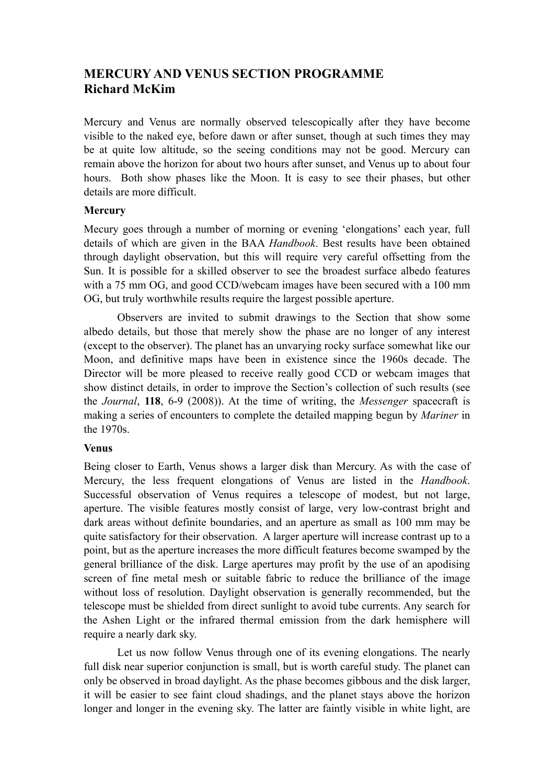## **MERCURY AND VENUS SECTION PROGRAMME Richard McKim**

Mercury and Venus are normally observed telescopically after they have become visible to the naked eye, before dawn or after sunset, though at such times they may be at quite low altitude, so the seeing conditions may not be good. Mercury can remain above the horizon for about two hours after sunset, and Venus up to about four hours. Both show phases like the Moon. It is easy to see their phases, but other details are more difficult.

## **Mercury**

Mecury goes through a number of morning or evening 'elongations' each year, full details of which are given in the BAA *Handbook*. Best results have been obtained through daylight observation, but this will require very careful offsetting from the Sun. It is possible for a skilled observer to see the broadest surface albedo features with a 75 mm OG, and good CCD/webcam images have been secured with a 100 mm OG, but truly worthwhile results require the largest possible aperture.

Observers are invited to submit drawings to the Section that show some albedo details, but those that merely show the phase are no longer of any interest (except to the observer). The planet has an unvarying rocky surface somewhat like our Moon, and definitive maps have been in existence since the 1960s decade. The Director will be more pleased to receive really good CCD or webcam images that show distinct details, in order to improve the Section's collection of such results (see the *Journal*, **118**, 6-9 (2008)). At the time of writing, the *Messenger* spacecraft is making a series of encounters to complete the detailed mapping begun by *Mariner* in the 1970s.

## **Venus**

Being closer to Earth, Venus shows a larger disk than Mercury. As with the case of Mercury, the less frequent elongations of Venus are listed in the *Handbook*. Successful observation of Venus requires a telescope of modest, but not large, aperture. The visible features mostly consist of large, very low-contrast bright and dark areas without definite boundaries, and an aperture as small as 100 mm may be quite satisfactory for their observation. A larger aperture will increase contrast up to a point, but as the aperture increases the more difficult features become swamped by the general brilliance of the disk. Large apertures may profit by the use of an apodising screen of fine metal mesh or suitable fabric to reduce the brilliance of the image without loss of resolution. Daylight observation is generally recommended, but the telescope must be shielded from direct sunlight to avoid tube currents. Any search for the Ashen Light or the infrared thermal emission from the dark hemisphere will require a nearly dark sky.

Let us now follow Venus through one of its evening elongations. The nearly full disk near superior conjunction is small, but is worth careful study. The planet can only be observed in broad daylight. As the phase becomes gibbous and the disk larger, it will be easier to see faint cloud shadings, and the planet stays above the horizon longer and longer in the evening sky. The latter are faintly visible in white light, are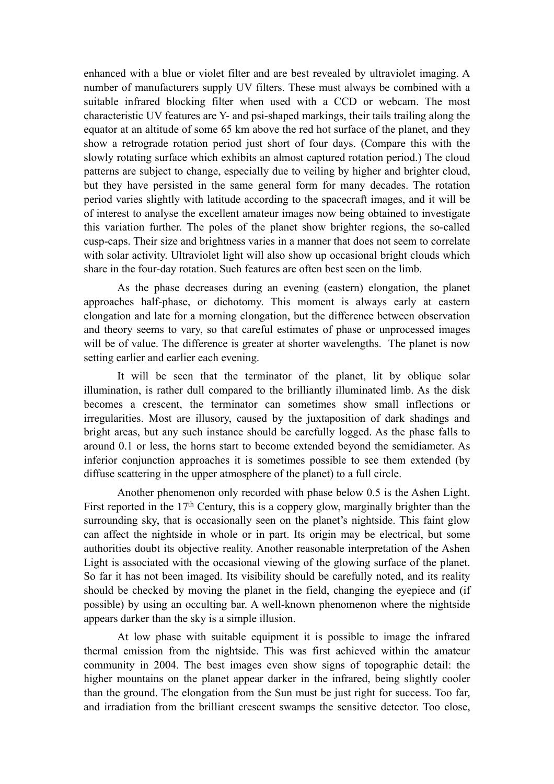enhanced with a blue or violet filter and are best revealed by ultraviolet imaging. A number of manufacturers supply UV filters. These must always be combined with a suitable infrared blocking filter when used with a CCD or webcam. The most characteristic UV features are Y- and psi-shaped markings, their tails trailing along the equator at an altitude of some 65 km above the red hot surface of the planet, and they show a retrograde rotation period just short of four days. (Compare this with the slowly rotating surface which exhibits an almost captured rotation period.) The cloud patterns are subject to change, especially due to veiling by higher and brighter cloud, but they have persisted in the same general form for many decades. The rotation period varies slightly with latitude according to the spacecraft images, and it will be of interest to analyse the excellent amateur images now being obtained to investigate this variation further. The poles of the planet show brighter regions, the so-called cusp-caps. Their size and brightness varies in a manner that does not seem to correlate with solar activity. Ultraviolet light will also show up occasional bright clouds which share in the four-day rotation. Such features are often best seen on the limb.

As the phase decreases during an evening (eastern) elongation, the planet approaches half-phase, or dichotomy. This moment is always early at eastern elongation and late for a morning elongation, but the difference between observation and theory seems to vary, so that careful estimates of phase or unprocessed images will be of value. The difference is greater at shorter wavelengths. The planet is now setting earlier and earlier each evening.

It will be seen that the terminator of the planet, lit by oblique solar illumination, is rather dull compared to the brilliantly illuminated limb. As the disk becomes a crescent, the terminator can sometimes show small inflections or irregularities. Most are illusory, caused by the juxtaposition of dark shadings and bright areas, but any such instance should be carefully logged. As the phase falls to around 0.1 or less, the horns start to become extended beyond the semidiameter. As inferior conjunction approaches it is sometimes possible to see them extended (by diffuse scattering in the upper atmosphere of the planet) to a full circle.

Another phenomenon only recorded with phase below 0.5 is the Ashen Light. First reported in the 17<sup>th</sup> Century, this is a coppery glow, marginally brighter than the surrounding sky, that is occasionally seen on the planet's nightside. This faint glow can affect the nightside in whole or in part. Its origin may be electrical, but some authorities doubt its objective reality. Another reasonable interpretation of the Ashen Light is associated with the occasional viewing of the glowing surface of the planet. So far it has not been imaged. Its visibility should be carefully noted, and its reality should be checked by moving the planet in the field, changing the eyepiece and (if possible) by using an occulting bar. A well-known phenomenon where the nightside appears darker than the sky is a simple illusion.

At low phase with suitable equipment it is possible to image the infrared thermal emission from the nightside. This was first achieved within the amateur community in 2004. The best images even show signs of topographic detail: the higher mountains on the planet appear darker in the infrared, being slightly cooler than the ground. The elongation from the Sun must be just right for success. Too far, and irradiation from the brilliant crescent swamps the sensitive detector. Too close,